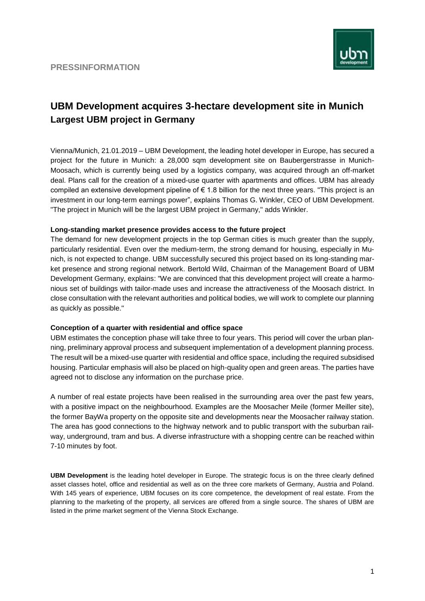

## **UBM Development acquires 3-hectare development site in Munich Largest UBM project in Germany**

Vienna/Munich, 21.01.2019 – UBM Development, the leading hotel developer in Europe, has secured a project for the future in Munich: a 28,000 sqm development site on Baubergerstrasse in Munich-Moosach, which is currently being used by a logistics company, was acquired through an off-market deal. Plans call for the creation of a mixed-use quarter with apartments and offices. UBM has already compiled an extensive development pipeline of  $\epsilon$  1.8 billion for the next three years. "This project is an investment in our long-term earnings power", explains Thomas G. Winkler, CEO of UBM Development. "The project in Munich will be the largest UBM project in Germany," adds Winkler.

## **Long-standing market presence provides access to the future project**

The demand for new development projects in the top German cities is much greater than the supply, particularly residential. Even over the medium-term, the strong demand for housing, especially in Munich, is not expected to change. UBM successfully secured this project based on its long-standing market presence and strong regional network. Bertold Wild, Chairman of the Management Board of UBM Development Germany, explains: "We are convinced that this development project will create a harmonious set of buildings with tailor-made uses and increase the attractiveness of the Moosach district. In close consultation with the relevant authorities and political bodies, we will work to complete our planning as quickly as possible."

## **Conception of a quarter with residential and office space**

UBM estimates the conception phase will take three to four years. This period will cover the urban planning, preliminary approval process and subsequent implementation of a development planning process. The result will be a mixed-use quarter with residential and office space, including the required subsidised housing. Particular emphasis will also be placed on high-quality open and green areas. The parties have agreed not to disclose any information on the purchase price.

A number of real estate projects have been realised in the surrounding area over the past few years, with a positive impact on the neighbourhood. Examples are the Moosacher Meile (former Meiller site), the former BayWa property on the opposite site and developments near the Moosacher railway station. The area has good connections to the highway network and to public transport with the suburban railway, underground, tram and bus. A diverse infrastructure with a shopping centre can be reached within 7-10 minutes by foot.

**UBM Development** is the leading hotel developer in Europe. The strategic focus is on the three clearly defined asset classes hotel, office and residential as well as on the three core markets of Germany, Austria and Poland. With 145 years of experience, UBM focuses on its core competence, the development of real estate. From the planning to the marketing of the property, all services are offered from a single source. The shares of UBM are listed in the prime market segment of the Vienna Stock Exchange.